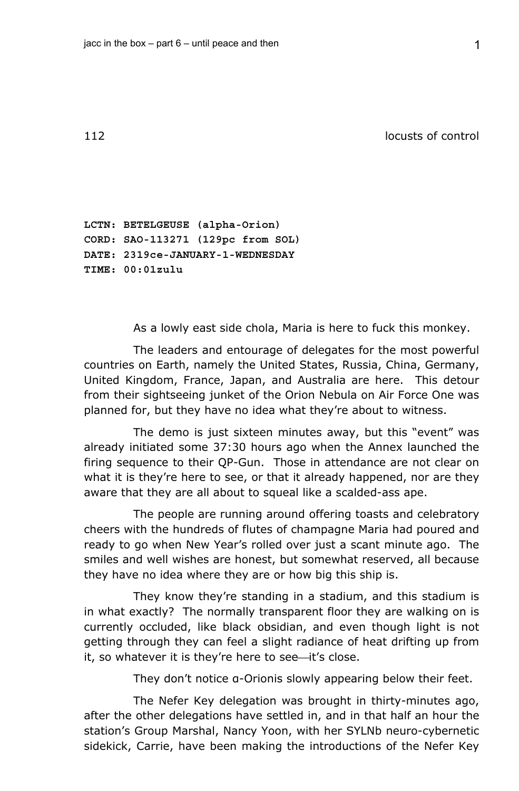112 locusts of control

**LCTN: BETELGEUSE (alpha-Orion) CORD: SAO-113271 (129pc from SOL) DATE: 2319ce-JANUARY-1-WEDNESDAY TIME: 00:01zulu** 

As a lowly east side chola, Maria is here to fuck this monkey.

The leaders and entourage of delegates for the most powerful countries on Earth, namely the United States, Russia, China, Germany, United Kingdom, France, Japan, and Australia are here. This detour from their sightseeing junket of the Orion Nebula on Air Force One was planned for, but they have no idea what they're about to witness.

The demo is just sixteen minutes away, but this "event" was already initiated some 37:30 hours ago when the Annex launched the firing sequence to their QP-Gun. Those in attendance are not clear on what it is they're here to see, or that it already happened, nor are they aware that they are all about to squeal like a scalded-ass ape.

The people are running around offering toasts and celebratory cheers with the hundreds of flutes of champagne Maria had poured and ready to go when New Year's rolled over just a scant minute ago. The smiles and well wishes are honest, but somewhat reserved, all because they have no idea where they are or how big this ship is.

They know they're standing in a stadium, and this stadium is in what exactly? The normally transparent floor they are walking on is currently occluded, like black obsidian, and even though light is not getting through they can feel a slight radiance of heat drifting up from it, so whatever it is they're here to see-it's close.

They don't notice α-Orionis slowly appearing below their feet.

The Nefer Key delegation was brought in thirty-minutes ago, after the other delegations have settled in, and in that half an hour the station's Group Marshal, Nancy Yoon, with her SYLNb neuro-cybernetic sidekick, Carrie, have been making the introductions of the Nefer Key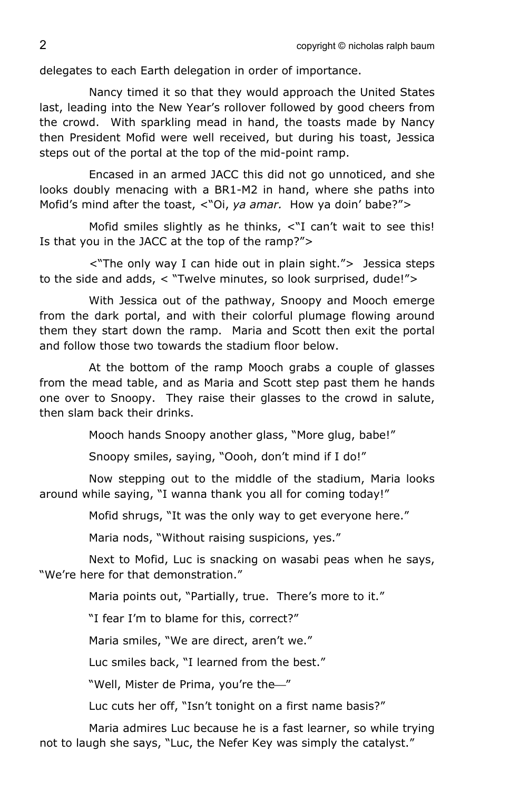delegates to each Earth delegation in order of importance.

Nancy timed it so that they would approach the United States last, leading into the New Year's rollover followed by good cheers from the crowd. With sparkling mead in hand, the toasts made by Nancy then President Mofid were well received, but during his toast, Jessica steps out of the portal at the top of the mid-point ramp.

Encased in an armed JACC this did not go unnoticed, and she looks doubly menacing with a BR1-M2 in hand, where she paths into Mofid's mind after the toast, <"Oi, *ya amar.* How ya doin' babe?">

Mofid smiles slightly as he thinks, <"I can't wait to see this! Is that you in the JACC at the top of the ramp?">

<"The only way I can hide out in plain sight."> Jessica steps to the side and adds, < "Twelve minutes, so look surprised, dude!">

With Jessica out of the pathway, Snoopy and Mooch emerge from the dark portal, and with their colorful plumage flowing around them they start down the ramp. Maria and Scott then exit the portal and follow those two towards the stadium floor below.

At the bottom of the ramp Mooch grabs a couple of glasses from the mead table, and as Maria and Scott step past them he hands one over to Snoopy. They raise their glasses to the crowd in salute, then slam back their drinks.

Mooch hands Snoopy another glass, "More glug, babe!"

Snoopy smiles, saying, "Oooh, don't mind if I do!"

Now stepping out to the middle of the stadium, Maria looks around while saying, "I wanna thank you all for coming today!"

Mofid shrugs, "It was the only way to get everyone here."

Maria nods, "Without raising suspicions, yes."

Next to Mofid, Luc is snacking on wasabi peas when he says, "We're here for that demonstration."

Maria points out, "Partially, true. There's more to it."

"I fear I'm to blame for this, correct?"

Maria smiles, "We are direct, aren't we."

Luc smiles back, "I learned from the best."

"Well, Mister de Prima, you're the<sup>"</sup>

Luc cuts her off, "Isn't tonight on a first name basis?"

Maria admires Luc because he is a fast learner, so while trying not to laugh she says, "Luc, the Nefer Key was simply the catalyst."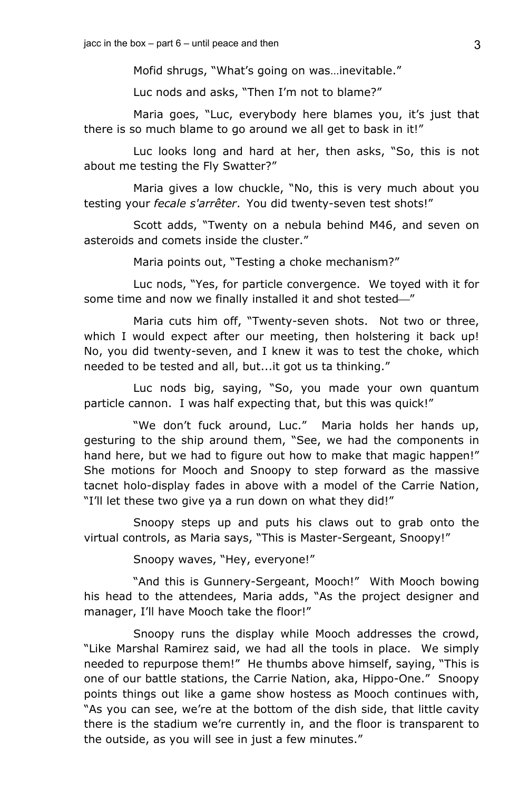Mofid shrugs, "What's going on was…inevitable."

Luc nods and asks, "Then I'm not to blame?"

Maria goes, "Luc, everybody here blames you, it's just that there is so much blame to go around we all get to bask in it!"

Luc looks long and hard at her, then asks, "So, this is not about me testing the Fly Swatter?"

Maria gives a low chuckle, "No, this is very much about you testing your *fecale s'arrêter*. You did twenty-seven test shots!"

Scott adds, "Twenty on a nebula behind M46, and seven on asteroids and comets inside the cluster."

Maria points out, "Testing a choke mechanism?"

Luc nods, "Yes, for particle convergence. We toyed with it for some time and now we finally installed it and shot tested-"

Maria cuts him off, "Twenty-seven shots. Not two or three, which I would expect after our meeting, then holstering it back up! No, you did twenty-seven, and I knew it was to test the choke, which needed to be tested and all, but...it got us ta thinking."

Luc nods big, saying, "So, you made your own quantum particle cannon. I was half expecting that, but this was quick!"

"We don't fuck around, Luc." Maria holds her hands up, gesturing to the ship around them, "See, we had the components in hand here, but we had to figure out how to make that magic happen!" She motions for Mooch and Snoopy to step forward as the massive tacnet holo-display fades in above with a model of the Carrie Nation, "I'll let these two give ya a run down on what they did!"

Snoopy steps up and puts his claws out to grab onto the virtual controls, as Maria says, "This is Master-Sergeant, Snoopy!"

Snoopy waves, "Hey, everyone!"

"And this is Gunnery-Sergeant, Mooch!" With Mooch bowing his head to the attendees, Maria adds, "As the project designer and manager, I'll have Mooch take the floor!"

Snoopy runs the display while Mooch addresses the crowd, "Like Marshal Ramirez said, we had all the tools in place. We simply needed to repurpose them!" He thumbs above himself, saying, "This is one of our battle stations, the Carrie Nation, aka, Hippo-One." Snoopy points things out like a game show hostess as Mooch continues with, "As you can see, we're at the bottom of the dish side, that little cavity there is the stadium we're currently in, and the floor is transparent to the outside, as you will see in just a few minutes."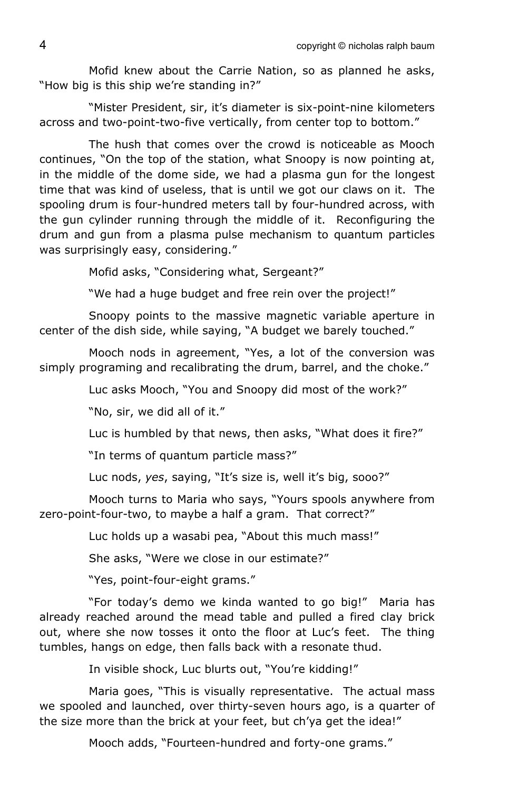Mofid knew about the Carrie Nation, so as planned he asks, "How big is this ship we're standing in?"

"Mister President, sir, it's diameter is six-point-nine kilometers across and two-point-two-five vertically, from center top to bottom."

The hush that comes over the crowd is noticeable as Mooch continues, "On the top of the station, what Snoopy is now pointing at, in the middle of the dome side, we had a plasma gun for the longest time that was kind of useless, that is until we got our claws on it. The spooling drum is four-hundred meters tall by four-hundred across, with the gun cylinder running through the middle of it. Reconfiguring the drum and gun from a plasma pulse mechanism to quantum particles was surprisingly easy, considering."

Mofid asks, "Considering what, Sergeant?"

"We had a huge budget and free rein over the project!"

Snoopy points to the massive magnetic variable aperture in center of the dish side, while saying, "A budget we barely touched."

Mooch nods in agreement, "Yes, a lot of the conversion was simply programing and recalibrating the drum, barrel, and the choke."

Luc asks Mooch, "You and Snoopy did most of the work?"

"No, sir, we did all of it."

Luc is humbled by that news, then asks, "What does it fire?"

"In terms of quantum particle mass?"

Luc nods, *yes*, saying, "It's size is, well it's big, sooo?"

Mooch turns to Maria who says, "Yours spools anywhere from zero-point-four-two, to maybe a half a gram. That correct?"

Luc holds up a wasabi pea, "About this much mass!"

She asks, "Were we close in our estimate?"

"Yes, point-four-eight grams."

"For today's demo we kinda wanted to go big!" Maria has already reached around the mead table and pulled a fired clay brick out, where she now tosses it onto the floor at Luc's feet. The thing tumbles, hangs on edge, then falls back with a resonate thud.

In visible shock, Luc blurts out, "You're kidding!"

Maria goes, "This is visually representative. The actual mass we spooled and launched, over thirty-seven hours ago, is a quarter of the size more than the brick at your feet, but ch'ya get the idea!"

Mooch adds, "Fourteen-hundred and forty-one grams."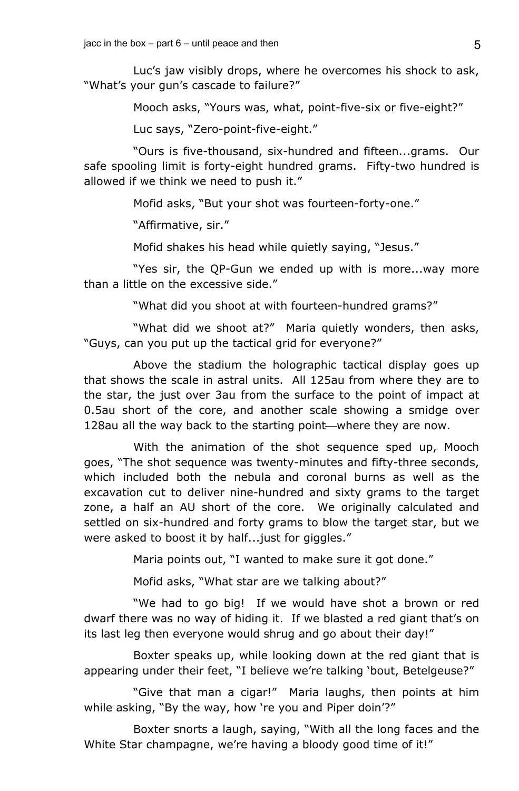Luc's jaw visibly drops, where he overcomes his shock to ask, "What's your gun's cascade to failure?"

Mooch asks, "Yours was, what, point-five-six or five-eight?"

Luc says, "Zero-point-five-eight."

"Ours is five-thousand, six-hundred and fifteen...grams. Our safe spooling limit is forty-eight hundred grams. Fifty-two hundred is allowed if we think we need to push it."

Mofid asks, "But your shot was fourteen-forty-one."

"Affirmative, sir."

Mofid shakes his head while quietly saying, "Jesus."

"Yes sir, the QP-Gun we ended up with is more...way more than a little on the excessive side."

"What did you shoot at with fourteen-hundred grams?"

"What did we shoot at?" Maria quietly wonders, then asks, "Guys, can you put up the tactical grid for everyone?"

Above the stadium the holographic tactical display goes up that shows the scale in astral units. All 125au from where they are to the star, the just over 3au from the surface to the point of impact at 0.5au short of the core, and another scale showing a smidge over 128au all the way back to the starting point—where they are now.

With the animation of the shot sequence sped up, Mooch goes, "The shot sequence was twenty-minutes and fifty-three seconds, which included both the nebula and coronal burns as well as the excavation cut to deliver nine-hundred and sixty grams to the target zone, a half an AU short of the core. We originally calculated and settled on six-hundred and forty grams to blow the target star, but we were asked to boost it by half...just for giggles."

Maria points out, "I wanted to make sure it got done."

Mofid asks, "What star are we talking about?"

"We had to go big! If we would have shot a brown or red dwarf there was no way of hiding it. If we blasted a red giant that's on its last leg then everyone would shrug and go about their day!"

Boxter speaks up, while looking down at the red giant that is appearing under their feet, "I believe we're talking 'bout, Betelgeuse?"

"Give that man a cigar!" Maria laughs, then points at him while asking, "By the way, how 're you and Piper doin'?"

Boxter snorts a laugh, saying, "With all the long faces and the White Star champagne, we're having a bloody good time of it!"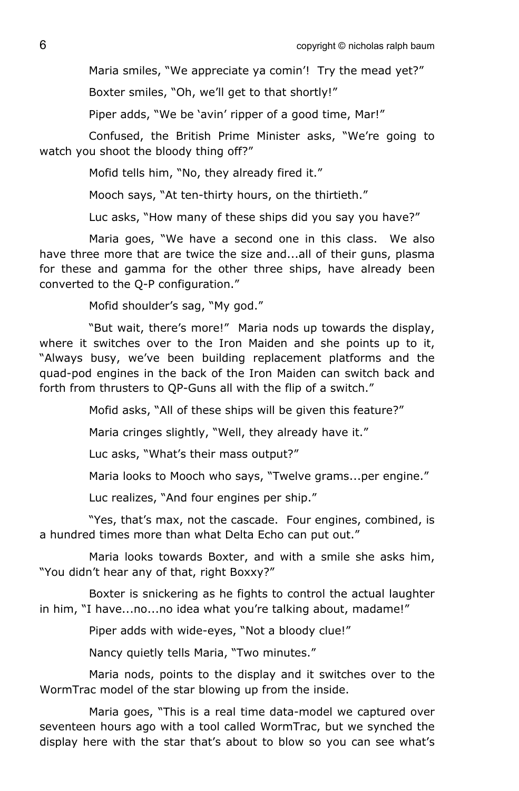Maria smiles, "We appreciate ya comin'! Try the mead yet?"

Boxter smiles, "Oh, we'll get to that shortly!"

Piper adds, "We be 'avin' ripper of a good time, Mar!"

Confused, the British Prime Minister asks, "We're going to watch you shoot the bloody thing off?"

Mofid tells him, "No, they already fired it."

Mooch says, "At ten-thirty hours, on the thirtieth."

Luc asks, "How many of these ships did you say you have?"

Maria goes, "We have a second one in this class. We also have three more that are twice the size and...all of their guns, plasma for these and gamma for the other three ships, have already been converted to the Q-P configuration."

Mofid shoulder's sag, "My god."

"But wait, there's more!" Maria nods up towards the display, where it switches over to the Iron Maiden and she points up to it, "Always busy, we've been building replacement platforms and the quad-pod engines in the back of the Iron Maiden can switch back and forth from thrusters to QP-Guns all with the flip of a switch."

Mofid asks, "All of these ships will be given this feature?"

Maria cringes slightly, "Well, they already have it."

Luc asks, "What's their mass output?"

Maria looks to Mooch who says, "Twelve grams...per engine."

Luc realizes, "And four engines per ship."

"Yes, that's max, not the cascade. Four engines, combined, is a hundred times more than what Delta Echo can put out."

Maria looks towards Boxter, and with a smile she asks him, "You didn't hear any of that, right Boxxy?"

Boxter is snickering as he fights to control the actual laughter in him, "I have...no...no idea what you're talking about, madame!"

Piper adds with wide-eyes, "Not a bloody clue!"

Nancy quietly tells Maria, "Two minutes."

Maria nods, points to the display and it switches over to the WormTrac model of the star blowing up from the inside.

Maria goes, "This is a real time data-model we captured over seventeen hours ago with a tool called WormTrac, but we synched the display here with the star that's about to blow so you can see what's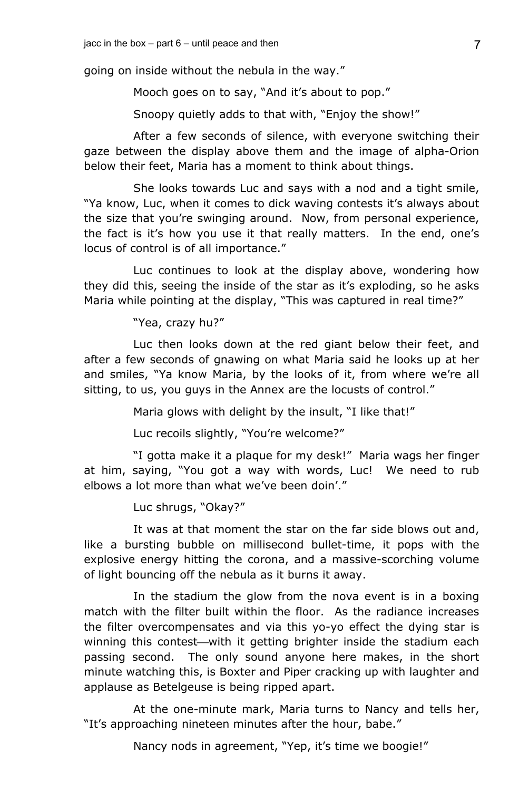going on inside without the nebula in the way."

Mooch goes on to say, "And it's about to pop."

Snoopy quietly adds to that with, "Enjoy the show!"

After a few seconds of silence, with everyone switching their gaze between the display above them and the image of alpha-Orion below their feet, Maria has a moment to think about things.

She looks towards Luc and says with a nod and a tight smile, "Ya know, Luc, when it comes to dick waving contests it's always about the size that you're swinging around. Now, from personal experience, the fact is it's how you use it that really matters. In the end, one's locus of control is of all importance."

Luc continues to look at the display above, wondering how they did this, seeing the inside of the star as it's exploding, so he asks Maria while pointing at the display, "This was captured in real time?"

"Yea, crazy hu?"

Luc then looks down at the red giant below their feet, and after a few seconds of gnawing on what Maria said he looks up at her and smiles, "Ya know Maria, by the looks of it, from where we're all sitting, to us, you guys in the Annex are the locusts of control."

Maria glows with delight by the insult, "I like that!"

Luc recoils slightly, "You're welcome?"

"I gotta make it a plaque for my desk!" Maria wags her finger at him, saying, "You got a way with words, Luc! We need to rub elbows a lot more than what we've been doin'."

Luc shrugs, "Okay?"

It was at that moment the star on the far side blows out and, like a bursting bubble on millisecond bullet-time, it pops with the explosive energy hitting the corona, and a massive-scorching volume of light bouncing off the nebula as it burns it away.

In the stadium the glow from the nova event is in a boxing match with the filter built within the floor. As the radiance increases the filter overcompensates and via this yo-yo effect the dying star is winning this contest—with it getting brighter inside the stadium each passing second. The only sound anyone here makes, in the short minute watching this, is Boxter and Piper cracking up with laughter and applause as Betelgeuse is being ripped apart.

At the one-minute mark, Maria turns to Nancy and tells her, "It's approaching nineteen minutes after the hour, babe."

Nancy nods in agreement, "Yep, it's time we boogie!"